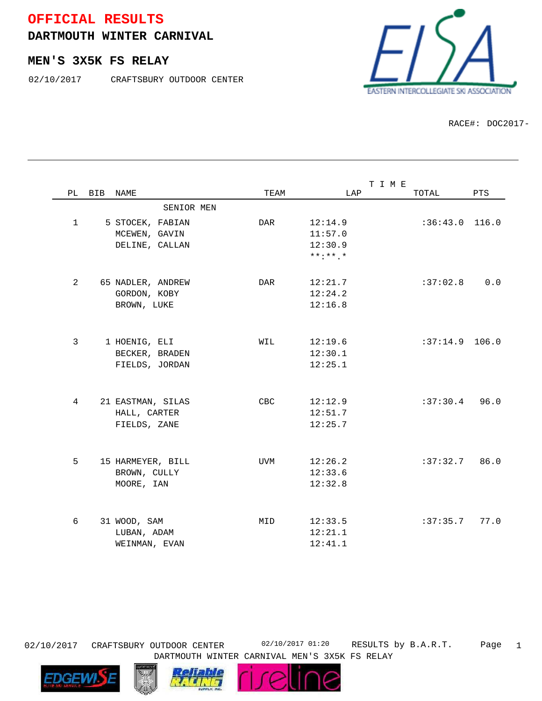## **OFFICIAL RESULTS**

**DARTMOUTH WINTER CARNIVAL**

## **MEN'S 3X5K FS RELAY**

02/10/2017 CRAFTSBURY OUTDOOR CENTER



RACE#: DOC2017-

|                |        |                   |            | TIME           |                  |      |
|----------------|--------|-------------------|------------|----------------|------------------|------|
|                | PL BIB | NAME              | TEAM       | LAP            | TOTAL            | PTS  |
|                |        | SENIOR MEN        |            |                |                  |      |
| $\mathbf{1}$   |        | 5 STOCEK, FABIAN  | DAR        | 12:14.9        | $:36:43.0$ 116.0 |      |
|                |        | MCEWEN, GAVIN     |            | 11:57.0        |                  |      |
|                |        | DELINE, CALLAN    |            | 12:30.9        |                  |      |
|                |        |                   |            | $***$ : ** . * |                  |      |
|                |        |                   |            |                |                  |      |
| $\overline{2}$ |        | 65 NADLER, ANDREW | DAR        | 12:21.7        | :37:02.8         | 0.0  |
|                |        | GORDON, KOBY      |            | 12:24.2        |                  |      |
|                |        | BROWN, LUKE       |            | 12:16.8        |                  |      |
|                |        |                   |            |                |                  |      |
| 3              |        | 1 HOENIG, ELI     | WIL        | 12:19.6        | $:37:14.9$ 106.0 |      |
|                |        | BECKER, BRADEN    |            | 12:30.1        |                  |      |
|                |        | FIELDS, JORDAN    |            | 12:25.1        |                  |      |
|                |        |                   |            |                |                  |      |
| 4              |        | 21 EASTMAN, SILAS | <b>CBC</b> | 12:12.9        | $:37:30.4$ 96.0  |      |
|                |        | HALL, CARTER      |            | 12:51.7        |                  |      |
|                |        | FIELDS, ZANE      |            | 12:25.7        |                  |      |
|                |        |                   |            |                |                  |      |
|                |        |                   |            |                |                  |      |
| 5              |        | 15 HARMEYER, BILL | UVM        | 12:26.2        | :37:32.7         | 86.0 |
|                |        | BROWN, CULLY      |            | 12:33.6        |                  |      |
|                |        | MOORE, IAN        |            | 12:32.8        |                  |      |
|                |        |                   |            |                |                  |      |
| 6              |        | 31 WOOD, SAM      | MID        | 12:33.5        | :37:35.7         | 77.0 |
|                |        | LUBAN, ADAM       |            | 12:21.1        |                  |      |
|                |        | WEINMAN, EVAN     |            | 12:41.1        |                  |      |



RESULTS by B.A.R.T. Page 1 DARTMOUTH WINTER CARNIVAL MEN'S 3X5K FS RELAY





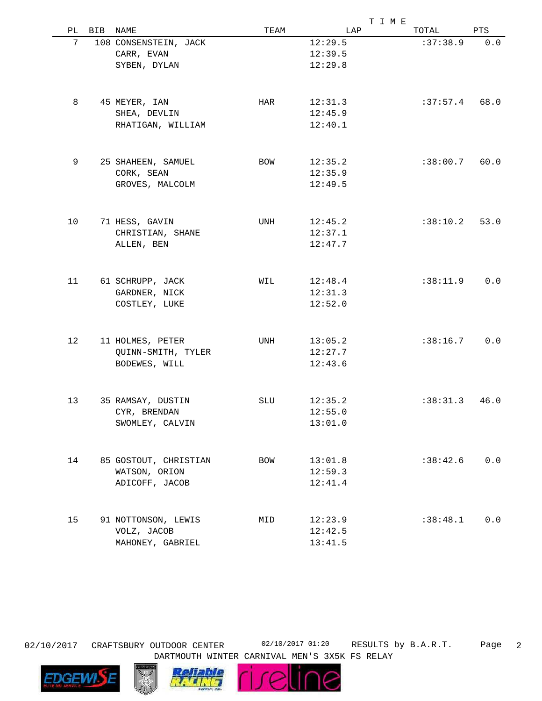|    |     |                       |      |         | T I M E  |      |  |
|----|-----|-----------------------|------|---------|----------|------|--|
| PL | BIB | NAME                  | TEAM | LAP     | TOTAL    | PTS  |  |
| 7  |     | 108 CONSENSTEIN, JACK |      | 12:29.5 | :37:38.9 | 0.0  |  |
|    |     | CARR, EVAN            |      | 12:39.5 |          |      |  |
|    |     | SYBEN, DYLAN          |      | 12:29.8 |          |      |  |
|    |     |                       |      |         |          |      |  |
| 8  |     | 45 MEYER, IAN         | HAR  | 12:31.3 | :37:57.4 | 68.0 |  |
|    |     | SHEA, DEVLIN          |      | 12:45.9 |          |      |  |
|    |     | RHATIGAN, WILLIAM     |      | 12:40.1 |          |      |  |
| 9  |     | 25 SHAHEEN, SAMUEL    | BOW  | 12:35.2 | :38:00.7 | 60.0 |  |
|    |     | CORK, SEAN            |      | 12:35.9 |          |      |  |
|    |     | GROVES, MALCOLM       |      | 12:49.5 |          |      |  |
|    |     |                       |      |         |          |      |  |
| 10 |     | 71 HESS, GAVIN        | UNH  | 12:45.2 | :38:10.2 | 53.0 |  |
|    |     | CHRISTIAN, SHANE      |      | 12:37.1 |          |      |  |
|    |     | ALLEN, BEN            |      | 12:47.7 |          |      |  |
| 11 |     | 61 SCHRUPP, JACK      | WIL  | 12:48.4 | :38:11.9 | 0.0  |  |
|    |     | GARDNER, NICK         |      | 12:31.3 |          |      |  |
|    |     | COSTLEY, LUKE         |      | 12:52.0 |          |      |  |
|    |     |                       |      |         |          |      |  |
| 12 |     | 11 HOLMES, PETER      | UNH  | 13:05.2 | :38:16.7 | 0.0  |  |
|    |     | QUINN-SMITH, TYLER    |      | 12:27.7 |          |      |  |
|    |     | BODEWES, WILL         |      | 12:43.6 |          |      |  |
|    |     |                       |      |         |          |      |  |
| 13 |     | 35 RAMSAY, DUSTIN     | SLU  | 12:35.2 | :38:31.3 | 46.0 |  |
|    |     | CYR, BRENDAN          |      | 12:55.0 |          |      |  |
|    |     | SWOMLEY, CALVIN       |      | 13:01.0 |          |      |  |
| 14 |     | 85 GOSTOUT, CHRISTIAN | BOW  | 13:01.8 | :38:42.6 | 0.0  |  |
|    |     | WATSON, ORION         |      | 12:59.3 |          |      |  |
|    |     | ADICOFF, JACOB        |      | 12:41.4 |          |      |  |
|    |     |                       |      |         |          |      |  |
| 15 |     | 91 NOTTONSON, LEWIS   | MID  | 12:23.9 | :38:48.1 | 0.0  |  |
|    |     | VOLZ, JACOB           |      | 12:42.5 |          |      |  |
|    |     | MAHONEY, GABRIEL      |      | 13:41.5 |          |      |  |



RESULTS by B.A.R.T. Page 2 DARTMOUTH WINTER CARNIVAL MEN'S 3X5K FS RELAY





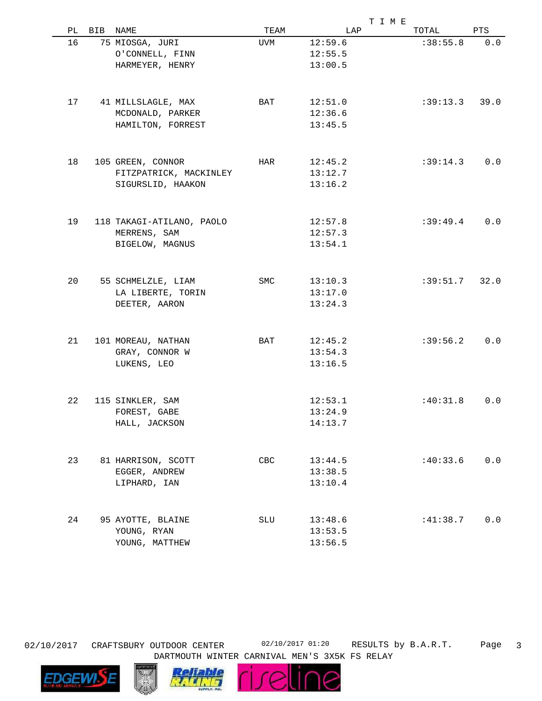|    |     |                           |      |         | T I M E         |      |  |
|----|-----|---------------------------|------|---------|-----------------|------|--|
| PL | BIB | NAME                      | TEAM | LAP     | TOTAL           | PTS  |  |
| 16 |     | 75 MIOSGA, JURI           | UVM  | 12:59.6 | :38:55.8        | 0.0  |  |
|    |     | O'CONNELL, FINN           |      | 12:55.5 |                 |      |  |
|    |     | HARMEYER, HENRY           |      | 13:00.5 |                 |      |  |
|    |     |                           |      |         |                 |      |  |
| 17 |     | 41 MILLSLAGLE, MAX        | BAT  | 12:51.0 | $:39:13.3$ 39.0 |      |  |
|    |     | MCDONALD, PARKER          |      | 12:36.6 |                 |      |  |
|    |     | HAMILTON, FORREST         |      | 13:45.5 |                 |      |  |
|    |     |                           |      |         |                 |      |  |
| 18 |     | 105 GREEN, CONNOR         | HAR  | 12:45.2 | :39:14.3        | 0.0  |  |
|    |     | FITZPATRICK, MACKINLEY    |      | 13:12.7 |                 |      |  |
|    |     | SIGURSLID, HAAKON         |      | 13:16.2 |                 |      |  |
|    |     |                           |      |         |                 |      |  |
| 19 |     | 118 TAKAGI-ATILANO, PAOLO |      | 12:57.8 | :39:49.4        | 0.0  |  |
|    |     | MERRENS, SAM              |      | 12:57.3 |                 |      |  |
|    |     | BIGELOW, MAGNUS           |      | 13:54.1 |                 |      |  |
| 20 |     | 55 SCHMELZLE, LIAM        | SMC  | 13:10.3 | :39:51.7        | 32.0 |  |
|    |     | LA LIBERTE, TORIN         |      | 13:17.0 |                 |      |  |
|    |     | DEETER, AARON             |      | 13:24.3 |                 |      |  |
|    |     |                           |      |         |                 |      |  |
| 21 |     | 101 MOREAU, NATHAN        | BAT  | 12:45.2 | :39:56.2        | 0.0  |  |
|    |     | GRAY, CONNOR W            |      | 13:54.3 |                 |      |  |
|    |     | LUKENS, LEO               |      | 13:16.5 |                 |      |  |
|    |     |                           |      |         |                 |      |  |
| 22 |     | 115 SINKLER, SAM          |      | 12:53.1 | :40:31.8        | 0.0  |  |
|    |     | FOREST, GABE              |      | 13:24.9 |                 |      |  |
|    |     | HALL, JACKSON             |      | 14:13.7 |                 |      |  |
|    |     |                           |      |         |                 |      |  |
| 23 |     | 81 HARRISON, SCOTT        | CBC  | 13:44.5 | :40:33.6        | 0.0  |  |
|    |     | EGGER, ANDREW             |      | 13:38.5 |                 |      |  |
|    |     | LIPHARD, IAN              |      | 13:10.4 |                 |      |  |
|    |     |                           |      |         |                 |      |  |
| 24 |     | 95 AYOTTE, BLAINE         | SLU  | 13:48.6 | :41:38.7        | 0.0  |  |
|    |     | YOUNG, RYAN               |      | 13:53.5 |                 |      |  |
|    |     | YOUNG, MATTHEW            |      | 13:56.5 |                 |      |  |

02/10/2017 CRAFTSBURY OUTDOOR CENTER 02/10/2017 01:20

RESULTS by B.A.R.T. Page 3 DARTMOUTH WINTER CARNIVAL MEN'S 3X5K FS RELAY